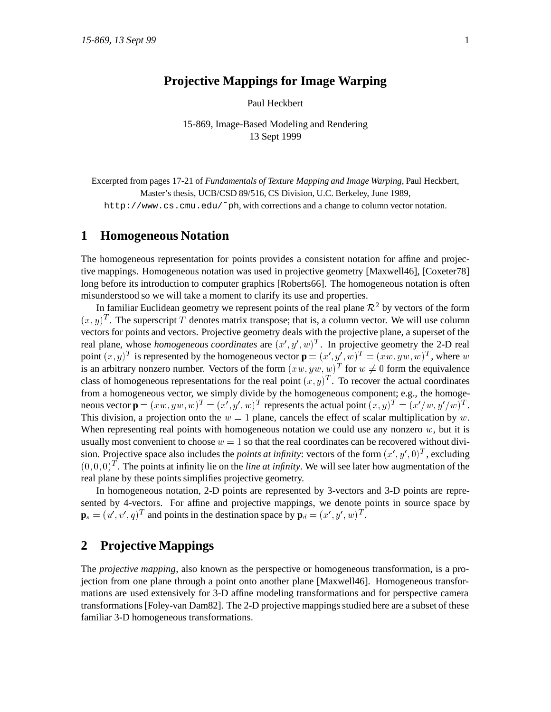# **Projective Mappings for Image Warping**

Paul Heckbert

15-869, Image-Based Modeling and Rendering 13 Sept 1999

Excerpted from pages 17-21 of *Fundamentals of Texture Mapping and Image Warping*, Paul Heckbert, Master's thesis, UCB/CSD 89/516, CS Division, U.C. Berkeley, June 1989,

http://www.cs.cmu.edu/˜ph, with corrections and a change to column vector notation.

### **1 Homogeneous Notation**

The homogeneous representation for points provides a consistent notation for affine and projective mappings. Homogeneous notation was used in projective geometry [Maxwell46], [Coxeter78] long before its introduction to computer graphics [Roberts66]. The homogeneous notation is often misunderstood so we will take a moment to clarify its use and properties.

In familiar Euclidean geometry we represent points of the real plane  $\mathcal{R}^2$  by vectors of the form  $(x,y)^T$ . The superscript T denotes matrix transpose; that is, a column vector. We will use column vectors for points and vectors. Projective geometry deals with the projective plane, a superset of the real plane, whose *homogeneous coordinates* are  $(x', y', w)^T$ . In projective geometry the 2-D real point  $(x, y)^T$  is represented by the homogeneous vector  $\mathbf{p} = (x', y', w)^T = (xw, yw, w)^T$ , where w is an arbitrary nonzero number. Vectors of the form  $(xw, yw, w)^T$  for  $w \neq 0$  form the equivalence class of homogeneous representations for the real point  $(x, y)^T$ . To recover the actual coordinates from a homogeneous vector, we simply divide by the homogeneous component; e.g., the homogeneous vector  $\mathbf{p} = (xw, yw, w)^T = (x', y', w)^T$  represents the actual point  $(x, y)^T = (x'/w, y'/w)^T$ . This division, a projection onto the  $w = 1$  plane, cancels the effect of scalar multiplication by w. When representing real points with homogeneous notation we could use any nonzero  $w$ , but it is usually most convenient to choose  $w = 1$  so that the real coordinates can be recovered without division. Projective space also includes the *points at infinity*: vectors of the form  $(x', y', 0)^T$ , excluding  $(0,0,0)^T$ . The points at infinity lie on the *line at infinity*. We will see later how augmentation of the real plane by these points simplifies projective geometry.

In homogeneous notation, 2-D points are represented by 3-vectors and 3-D points are represented by 4-vectors. For affine and projective mappings, we denote points in source space by  $\mathbf{p}_s = (u', v', q)^T$  and points in the destination space by  $\mathbf{p}_d = (x', y', w)^T$ .

#### **2 Projective Mappings**

The *projective mapping*, also known as the perspective or homogeneous transformation, is a projection from one plane through a point onto another plane [Maxwell46]. Homogeneous transformations are used extensively for 3-D affine modeling transformations and for perspective camera transformations [Foley-van Dam82]. The 2-D projective mappings studied here are a subset of these familiar 3-D homogeneous transformations.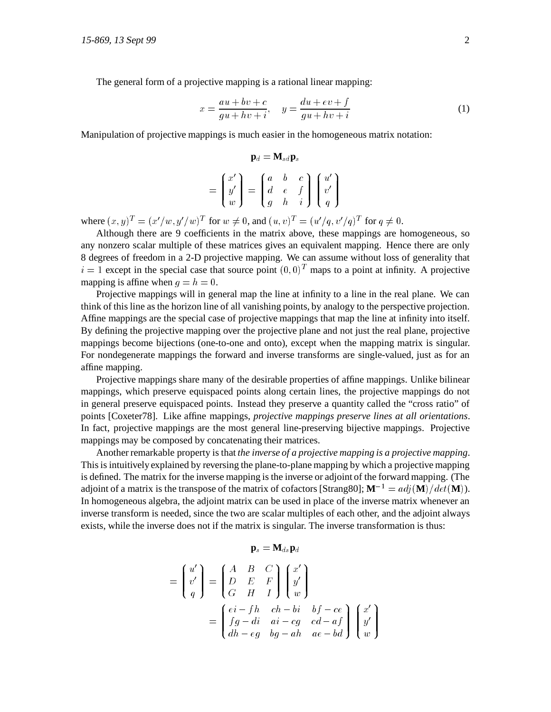The general form of a projective mapping is a rational linear mapping:

$$
x = \frac{au + bv + c}{gu + hv + i}, \quad y = \frac{du + ev + f}{gu + hv + i}
$$
 (1)

Manipulation of projective mappings is much easier in the homogeneous matrix notation:

$$
\mathbf{p}_d = \mathbf{M}_{sd} \mathbf{p}_s
$$
  
=  $\begin{pmatrix} x' \\ y' \\ w \end{pmatrix} = \begin{pmatrix} a & b & c \\ d & e & f \\ g & h & i \end{pmatrix} \begin{pmatrix} u' \\ v' \\ q \end{pmatrix}$ 

where  $(x,y)^T = (x'/w, y'/w)^T$  for  $w \neq 0$ , and  $(u, v)^T = (u'/q, v'/q)^T$  for  $q \neq 0$ .

Although there are 9 coefficients in the matrix above, these mappings are homogeneous, so any nonzero scalar multiple of these matrices gives an equivalent mapping. Hence there are only 8 degrees of freedom in a 2-D projective mapping. We can assume without loss of generality that  $i = 1$  except in the special case that source point  $(0,0)^T$  maps to a point at infinity. A projective mapping is affine when  $q = h = 0$ .

Projective mappings will in general map the line at infinity to a line in the real plane. We can think of this line as the horizon line of all vanishing points, by analogy to the perspective projection. Affine mappings are the special case of projective mappings that map the line at infinity into itself. By defining the projective mapping over the projective plane and not just the real plane, projective mappings become bijections (one-to-one and onto), except when the mapping matrix is singular. For nondegenerate mappings the forward and inverse transforms are single-valued, just as for an affine mapping.

Projective mappings share many of the desirable properties of affine mappings. Unlike bilinear mappings, which preserve equispaced points along certain lines, the projective mappings do not in general preserve equispaced points. Instead they preserve a quantity called the "cross ratio" of points [Coxeter78]. Like affine mappings, *projective mappings preserve lines at all orientations*. In fact, projective mappings are the most general line-preserving bijective mappings. Projective mappings may be composed by concatenating their matrices.

Another remarkable property is that *the inverse of a projective mapping is a projective mapping*. This is intuitively explained by reversing the plane-to-plane mapping by which a projective mapping is defined. The matrix for the inverse mapping is the inverse or adjoint of the forward mapping. (The adjoint of a matrix is the transpose of the matrix of cofactors [Strang80];  $\mathbf{M}^{-1} = a d \mathbf{i}(\mathbf{M})/det(\mathbf{M})$ . In homogeneous algebra, the adjoint matrix can be used in place of the inverse matrix whenever an inverse transform is needed, since the two are scalar multiples of each other, and the adjoint always exists, while the inverse does not if the matrix is singular. The inverse transformation is thus:

$$
\mathbf{p}_s = \mathbf{M}_{ds} \mathbf{p}_d
$$

$$
= \begin{pmatrix} u' \\ v' \\ q \end{pmatrix} = \begin{pmatrix} A & B & C \\ D & E & F \\ G & H & I \end{pmatrix} \begin{pmatrix} x' \\ y' \\ w \end{pmatrix}
$$

$$
= \begin{pmatrix} ei - fh & ch - bi & bf - ce \\ fg - di & ai - cg & cd - af \\ dh - eg & bg - ah & ae - bd \end{pmatrix} \begin{pmatrix} x' \\ y' \\ w \end{pmatrix}
$$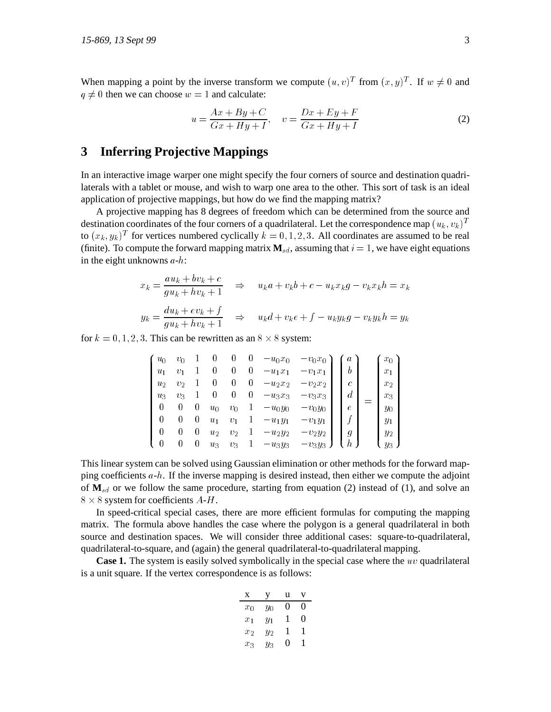When mapping a point by the inverse transform we compute  $(u, v)^T$  from  $(x, y)^T$ . If  $w \neq 0$  and  $q \neq 0$  then we can choose  $w = 1$  and calculate:

$$
u = \frac{Ax + By + C}{Gx + Hy + I}, \quad v = \frac{Dx + Ey + F}{Gx + Hy + I}
$$
 (2)

# **3 Inferring Projective Mappings**

In an interactive image warper one might specify the four corners of source and destination quadrilaterals with a tablet or mouse, and wish to warp one area to the other. This sort of task is an ideal application of projective mappings, but how do we find the mapping matrix?

A projective mapping has 8 degrees of freedom which can be determined from the source and destination coordinates of the four corners of a quadrilateral. Let the correspondence map  $(u_k, v_k)^T$ to  $(x_k, y_k)^T$  for vertices numbered cyclically  $k = 0, 1, 2, 3$ . All coordinates are assumed to be real (finite). To compute the forward mapping matrix  $\mathbf{M}_{sd}$ , assuming that  $i = 1$ , we have eight equations in the eight unknowns  $a-h$ :

$$
x_k = \frac{au_k + bv_k + c}{gu_k + hv_k + 1} \quad \Rightarrow \quad u_k a + v_k b + c - u_k x_k g - v_k x_k h = x_k
$$
  

$$
y_k = \frac{du_k + ev_k + f}{gu_k + hv_k + 1} \quad \Rightarrow \quad u_k d + v_k e + f - u_k y_k g - v_k y_k h = y_k
$$

for  $k = 0, 1, 2, 3$ . This can be rewritten as an  $8 \times 8$  system:

| $u_0$    | $v_0$            |                  |       | U        | $\theta$     | $-u_0x_0$   | $-v_0x_0$ | a                |  | $x_0$ |  |
|----------|------------------|------------------|-------|----------|--------------|-------------|-----------|------------------|--|-------|--|
| $u_1$    | $v_1$            |                  | 0     | 0        | 0            | $-u_1x_1$   | $-v_1x_1$ | $\boldsymbol{b}$ |  | $x_1$ |  |
| $u_2$    | $v_2$            |                  |       | $\theta$ | 0            | $-u_2x_2$   | $-v_2x_2$ | $\mathfrak c$    |  | $x_2$ |  |
| $u_3$    | $v_3$            |                  |       | $\theta$ | 0            | $- u_3 x_3$ | $-v3x3$   | $\overline{d}$   |  | $x_3$ |  |
| $\bf{0}$ | $\left( \right)$ | $\left( \right)$ | $u_0$ | $v_0$    | $\mathbf{1}$ | $-u_0y_0$   | $-v_0y_0$ | $\epsilon$       |  | $y_0$ |  |
| 0        | $\left( \right)$ | $\left( \right)$ | $u_1$ | $v_1$    | $\mathbf{1}$ | $-u_1y_1$   | $-v_1y_1$ |                  |  | $y_1$ |  |
| 0        | $\left( \right)$ | $\left( \right)$ | $u_2$ | $v_2$    | 1            | $-u_2y_2$   | $-v_2y_2$ | $\boldsymbol{g}$ |  | $y_2$ |  |
|          | 0                | 0                | $u_3$ | $v_3$    |              | $-u_3y_3$   | $-v_3y_3$ | h                |  | $y_3$ |  |

This linear system can be solved using Gaussian elimination or other methods for the forward mapping coefficients  $a-h$ . If the inverse mapping is desired instead, then either we compute the adjoint of  $M_{sd}$  or we follow the same procedure, starting from equation (2) instead of (1), and solve an  $8 \times 8$  system for coefficients  $A-H$ .

In speed-critical special cases, there are more efficient formulas for computing the mapping matrix. The formula above handles the case where the polygon is a general quadrilateral in both source and destination spaces. We will consider three additional cases: square-to-quadrilateral, quadrilateral-to-square, and (again) the general quadrilateral-to-quadrilateral mapping.

**Case 1.** The system is easily solved symbolically in the special case where the uv quadrilateral is a unit square. If the vertex correspondence is as follows:

| X       | ٧     | u |   |
|---------|-------|---|---|
| $x_0$   | Yо    | 0 | 0 |
| $x_1$   | $y_1$ | ı | 0 |
| $x_2$   | $y_2$ | 1 | 1 |
| $x_{3}$ | ΥЗ    | 0 |   |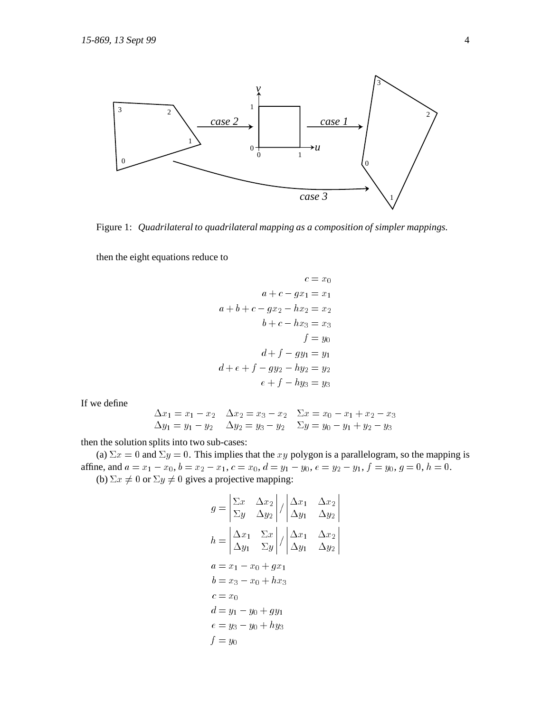

Figure 1: *Quadrilateral to quadrilateral mapping as a composition of simpler mappings.*

then the eight equations reduce to

$$
c = x_0
$$
  
\n
$$
a + c - gx_1 = x_1
$$
  
\n
$$
a + b + c - gx_2 - hx_2 = x_2
$$
  
\n
$$
b + c - hx_3 = x_3
$$
  
\n
$$
f = y_0
$$
  
\n
$$
d + f - gy_1 = y_1
$$
  
\n
$$
d + e + f - gy_2 - hy_2 = y_2
$$
  
\n
$$
e + f - hy_3 = y_3
$$

If we define

$$
\begin{array}{ll}\n\Delta x_1 = x_1 - x_2 & \Delta x_2 = x_3 - x_2 & \Sigma x = x_0 - x_1 + x_2 - x_3 \\
\Delta y_1 = y_1 - y_2 & \Delta y_2 = y_3 - y_2 & \Sigma y = y_0 - y_1 + y_2 - y_3\n\end{array}
$$

then the solution splits into two sub-cases:

(a)  $\Sigma x = 0$  and  $\Sigma y = 0$ . This implies that the xy polygon is a parallelogram, so the mapping is affine, and  $a = x_1 - x_0$ ,  $b = x_2 - x_1$ ,  $c = x_0$ ,  $d = y_1 - y_0$ ,  $e = y_2 - y_1$ ,  $f = y_0$ ,  $g = 0$ ,  $h = 0$ . (b)  $\Sigma x \neq 0$  or  $\Sigma y \neq 0$  gives a projective mapping:

$$
g = \begin{vmatrix} \Sigma x & \Delta x_2 \\ \Sigma y & \Delta y_2 \end{vmatrix} / \begin{vmatrix} \Delta x_1 & \Delta x_2 \\ \Delta y_1 & \Delta y_2 \end{vmatrix}
$$
  
\n
$$
h = \begin{vmatrix} \Delta x_1 & \Sigma x \\ \Delta y_1 & \Sigma y \end{vmatrix} / \begin{vmatrix} \Delta x_1 & \Delta x_2 \\ \Delta y_1 & \Delta y_2 \end{vmatrix}
$$
  
\n
$$
a = x_1 - x_0 + g x_1
$$
  
\n
$$
b = x_3 - x_0 + h x_3
$$
  
\n
$$
c = x_0
$$
  
\n
$$
d = y_1 - y_0 + g y_1
$$
  
\n
$$
e = y_3 - y_0 + h y_3
$$
  
\n
$$
f = y_0
$$